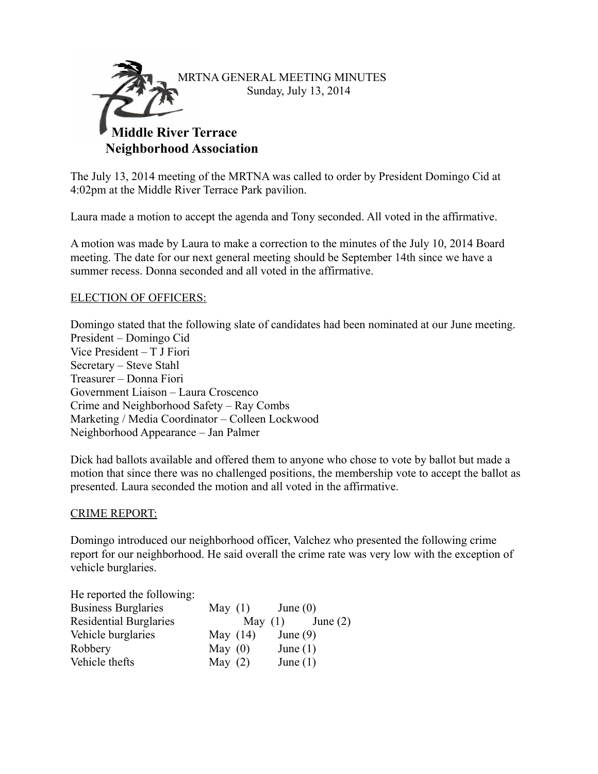

The July 13, 2014 meeting of the MRTNA was called to order by President Domingo Cid at 4:02pm at the Middle River Terrace Park pavilion.

Laura made a motion to accept the agenda and Tony seconded. All voted in the affirmative.

A motion was made by Laura to make a correction to the minutes of the July 10, 2014 Board meeting. The date for our next general meeting should be September 14th since we have a summer recess. Donna seconded and all voted in the affirmative.

## ELECTION OF OFFICERS:

Domingo stated that the following slate of candidates had been nominated at our June meeting. President – Domingo Cid Vice President – T J Fiori Secretary – Steve Stahl Treasurer – Donna Fiori Government Liaison – Laura Croscenco Crime and Neighborhood Safety – Ray Combs Marketing / Media Coordinator – Colleen Lockwood Neighborhood Appearance – Jan Palmer

Dick had ballots available and offered them to anyone who chose to vote by ballot but made a motion that since there was no challenged positions, the membership vote to accept the ballot as presented. Laura seconded the motion and all voted in the affirmative.

#### CRIME REPORT:

Domingo introduced our neighborhood officer, Valchez who presented the following crime report for our neighborhood. He said overall the crime rate was very low with the exception of vehicle burglaries.

| He reported the following:    |            |           |            |            |
|-------------------------------|------------|-----------|------------|------------|
| <b>Business Burglaries</b>    | May $(1)$  |           | June $(0)$ |            |
| <b>Residential Burglaries</b> |            | May $(1)$ |            | June $(2)$ |
| Vehicle burglaries            | May $(14)$ |           | June $(9)$ |            |
| Robbery                       | May $(0)$  |           | June $(1)$ |            |
| Vehicle thefts                | May $(2)$  |           | June $(1)$ |            |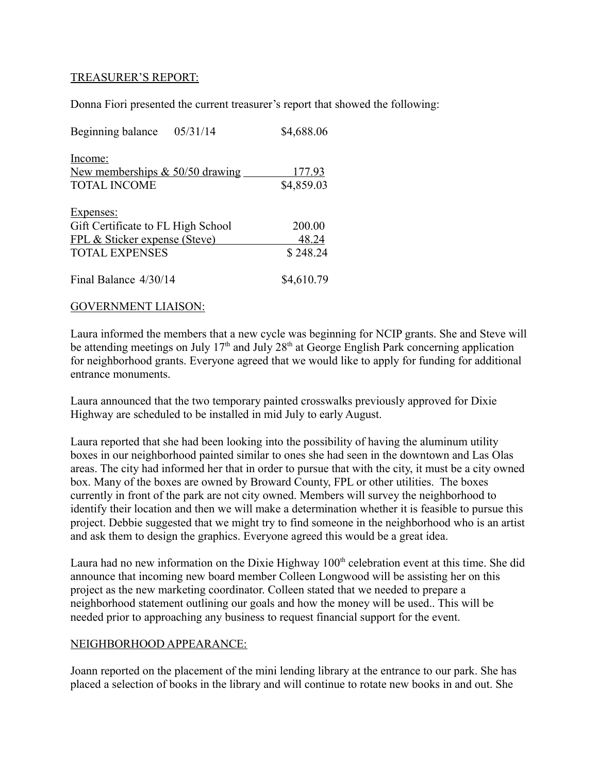## TREASURER'S REPORT:

Donna Fiori presented the current treasurer's report that showed the following:

| 05/31/14<br>Beginning balance                | \$4,688.06 |
|----------------------------------------------|------------|
| Income:<br>New memberships $& 50/50$ drawing | 177.93     |
| <b>TOTAL INCOME</b>                          | \$4,859.03 |
| Expenses:                                    |            |
| Gift Certificate to FL High School           | 200.00     |
| FPL & Sticker expense (Steve)                | 48.24      |
| <b>TOTAL EXPENSES</b>                        | \$248.24   |
| Final Balance 4/30/14                        | \$4,610.79 |

#### GOVERNMENT LIAISON:

Laura informed the members that a new cycle was beginning for NCIP grants. She and Steve will be attending meetings on July 17<sup>th</sup> and July 28<sup>th</sup> at George English Park concerning application for neighborhood grants. Everyone agreed that we would like to apply for funding for additional entrance monuments.

Laura announced that the two temporary painted crosswalks previously approved for Dixie Highway are scheduled to be installed in mid July to early August.

Laura reported that she had been looking into the possibility of having the aluminum utility boxes in our neighborhood painted similar to ones she had seen in the downtown and Las Olas areas. The city had informed her that in order to pursue that with the city, it must be a city owned box. Many of the boxes are owned by Broward County, FPL or other utilities. The boxes currently in front of the park are not city owned. Members will survey the neighborhood to identify their location and then we will make a determination whether it is feasible to pursue this project. Debbie suggested that we might try to find someone in the neighborhood who is an artist and ask them to design the graphics. Everyone agreed this would be a great idea.

Laura had no new information on the Dixie Highway  $100<sup>th</sup>$  celebration event at this time. She did announce that incoming new board member Colleen Longwood will be assisting her on this project as the new marketing coordinator. Colleen stated that we needed to prepare a neighborhood statement outlining our goals and how the money will be used.. This will be needed prior to approaching any business to request financial support for the event.

## NEIGHBORHOOD APPEARANCE:

Joann reported on the placement of the mini lending library at the entrance to our park. She has placed a selection of books in the library and will continue to rotate new books in and out. She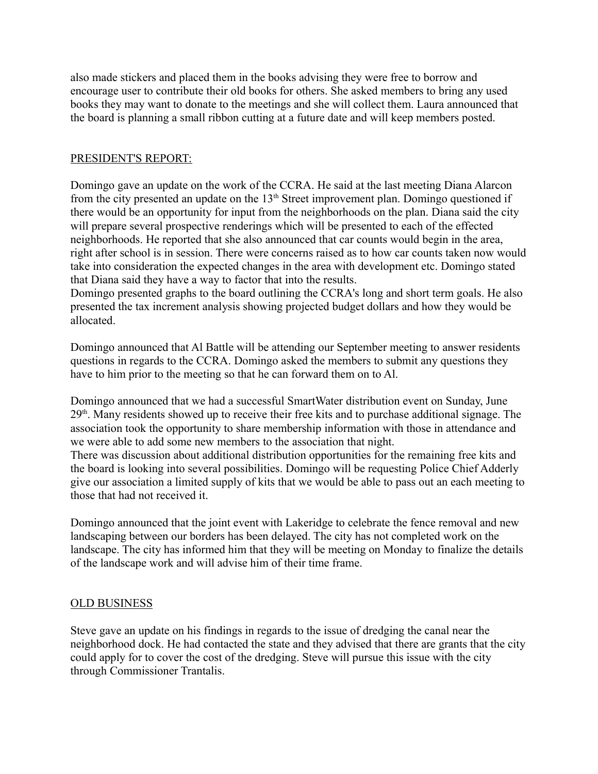also made stickers and placed them in the books advising they were free to borrow and encourage user to contribute their old books for others. She asked members to bring any used books they may want to donate to the meetings and she will collect them. Laura announced that the board is planning a small ribbon cutting at a future date and will keep members posted.

# PRESIDENT'S REPORT:

Domingo gave an update on the work of the CCRA. He said at the last meeting Diana Alarcon from the city presented an update on the  $13<sup>th</sup>$  Street improvement plan. Domingo questioned if there would be an opportunity for input from the neighborhoods on the plan. Diana said the city will prepare several prospective renderings which will be presented to each of the effected neighborhoods. He reported that she also announced that car counts would begin in the area, right after school is in session. There were concerns raised as to how car counts taken now would take into consideration the expected changes in the area with development etc. Domingo stated that Diana said they have a way to factor that into the results.

Domingo presented graphs to the board outlining the CCRA's long and short term goals. He also presented the tax increment analysis showing projected budget dollars and how they would be allocated.

Domingo announced that Al Battle will be attending our September meeting to answer residents questions in regards to the CCRA. Domingo asked the members to submit any questions they have to him prior to the meeting so that he can forward them on to Al.

Domingo announced that we had a successful SmartWater distribution event on Sunday, June  $29<sup>th</sup>$ . Many residents showed up to receive their free kits and to purchase additional signage. The association took the opportunity to share membership information with those in attendance and we were able to add some new members to the association that night.

There was discussion about additional distribution opportunities for the remaining free kits and the board is looking into several possibilities. Domingo will be requesting Police Chief Adderly give our association a limited supply of kits that we would be able to pass out an each meeting to those that had not received it.

Domingo announced that the joint event with Lakeridge to celebrate the fence removal and new landscaping between our borders has been delayed. The city has not completed work on the landscape. The city has informed him that they will be meeting on Monday to finalize the details of the landscape work and will advise him of their time frame.

## OLD BUSINESS

Steve gave an update on his findings in regards to the issue of dredging the canal near the neighborhood dock. He had contacted the state and they advised that there are grants that the city could apply for to cover the cost of the dredging. Steve will pursue this issue with the city through Commissioner Trantalis.